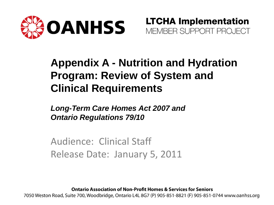

**LTCHA Implementation** MEMBER SUPPORT PROJECT

#### **Appendix A - Nutrition and Hydration Program: Review of System and Clinical Requirements**

*Long-Term Care Homes Act 2007 and Ontario Regulations 79/10*

Audience: Clinical Staff Release Date: January 5, 2011

**Ontario Association of Non-Profit Homes & Services for Seniors** 

7050 Weston Road, Suite 700, Woodbridge, Ontario L4L 8G7 (P) 905-851-8821 (F) 905-851-0744 www.oanhss.org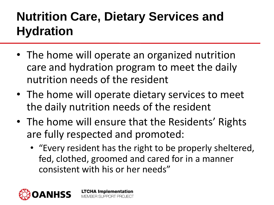### **Nutrition Care, Dietary Services and Hydration**

- The home will operate an organized nutrition care and hydration program to meet the daily nutrition needs of the resident
- The home will operate dietary services to meet the daily nutrition needs of the resident
- The home will ensure that the Residents' Rights are fully respected and promoted:

**LTCHA Implementation** MEMBER SUPPORT PROJECT

• "Every resident has the right to be properly sheltered, fed, clothed, groomed and cared for in a manner consistent with his or her needs"

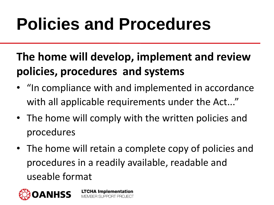### **Policies and Procedures**

### **The home will develop, implement and review policies, procedures and systems**

- "In compliance with and implemented in accordance with all applicable requirements under the Act..."
- The home will comply with the written policies and procedures
- The home will retain a complete copy of policies and procedures in a readily available, readable and useable format

**LTCHA Implementation** 

MEMBER SLIPPORT PROJECT

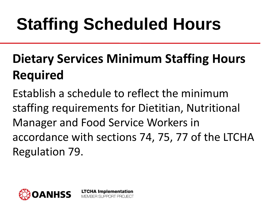## **Staffing Scheduled Hours**

### **Dietary Services Minimum Staffing Hours Required**

Establish a schedule to reflect the minimum staffing requirements for Dietitian, Nutritional Manager and Food Service Workers in accordance with sections 74, 75, 77 of the LTCHA Regulation 79.

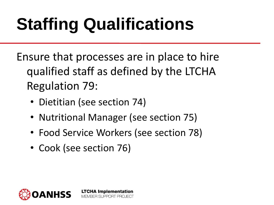# **Staffing Qualifications**

Ensure that processes are in place to hire qualified staff as defined by the LTCHA Regulation 79:

- Dietitian (see section 74)
- Nutritional Manager (see section 75)
- Food Service Workers (see section 78)

**LTCHA Implementation** MEMBER SUPPORT PROJECT

• Cook (see section 76)

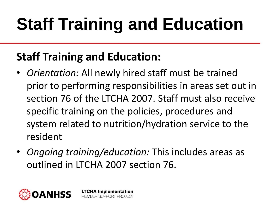# **Staff Training and Education**

#### **Staff Training and Education:**

- *Orientation:* All newly hired staff must be trained prior to performing responsibilities in areas set out in section 76 of the LTCHA 2007. Staff must also receive specific training on the policies, procedures and system related to nutrition/hydration service to the resident
- *Ongoing training/education:* This includes areas as outlined in LTCHA 2007 section 76.

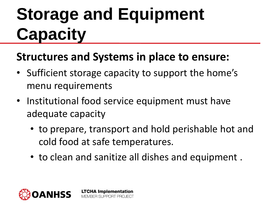### **Storage and Equipment Capacity**

#### **Structures and Systems in place to ensure:**

- Sufficient storage capacity to support the home's menu requirements
- Institutional food service equipment must have adequate capacity

- to prepare, transport and hold perishable hot and cold food at safe temperatures.
- to clean and sanitize all dishes and equipment .

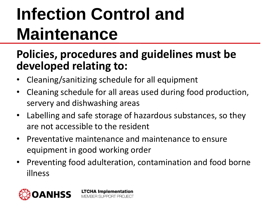### **Infection Control and Maintenance**

#### **Policies, procedures and guidelines must be developed relating to:**

- Cleaning/sanitizing schedule for all equipment
- Cleaning schedule for all areas used during food production, servery and dishwashing areas
- Labelling and safe storage of hazardous substances, so they are not accessible to the resident
- Preventative maintenance and maintenance to ensure equipment in good working order
- Preventing food adulteration, contamination and food borne illness

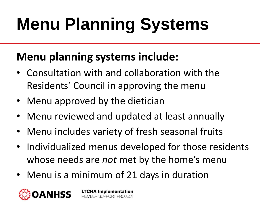# **Menu Planning Systems**

#### **Menu planning systems include:**

- Consultation with and collaboration with the Residents' Council in approving the menu
- Menu approved by the dietician
- Menu reviewed and updated at least annually
- Menu includes variety of fresh seasonal fruits
- Individualized menus developed for those residents whose needs are *not* met by the home's menu
- Menu is a minimum of 21 days in duration

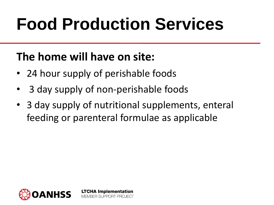### **Food Production Services**

#### **The home will have on site:**

- 24 hour supply of perishable foods
- 3 day supply of non-perishable foods

**LTCHA Implementation** MEMBER SLIPPORT PROJECT

• 3 day supply of nutritional supplements, enteral feeding or parenteral formulae as applicable

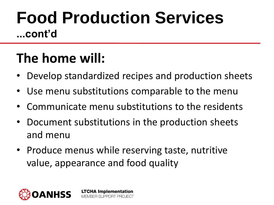### **Food Production Services ...cont'd**

### **The home will:**

- Develop standardized recipes and production sheets
- Use menu substitutions comparable to the menu
- Communicate menu substitutions to the residents
- Document substitutions in the production sheets and menu
- Produce menus while reserving taste, nutritive value, appearance and food quality

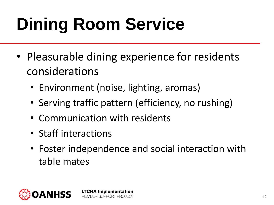# **Dining Room Service**

- Pleasurable dining experience for residents considerations
	- Environment (noise, lighting, aromas)
	- Serving traffic pattern (efficiency, no rushing)
	- Communication with residents

- Staff interactions
- Foster independence and social interaction with table mates

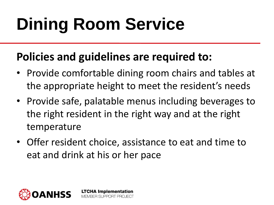### **Dining Room Service**

#### **Policies and guidelines are required to:**

- Provide comfortable dining room chairs and tables at the appropriate height to meet the resident's needs
- Provide safe, palatable menus including beverages to the right resident in the right way and at the right temperature
- Offer resident choice, assistance to eat and time to eat and drink at his or her pace

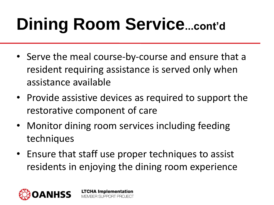## **Dining Room Service...cont'd**

- Serve the meal course-by-course and ensure that a resident requiring assistance is served only when assistance available
- Provide assistive devices as required to support the restorative component of care
- Monitor dining room services including feeding techniques
- Ensure that staff use proper techniques to assist residents in enjoying the dining room experience

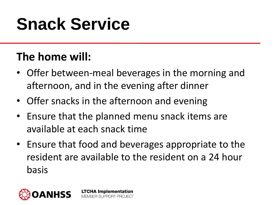### **Snack Service**

#### **The home will:**

- Offer between-meal beverages in the morning and afternoon, and in the evening after dinner
- Offer snacks in the afternoon and evening

- Ensure that the planned menu snack items are available at each snack time
- Ensure that food and beverages appropriate to the resident are available to the resident on a 24 hour basis